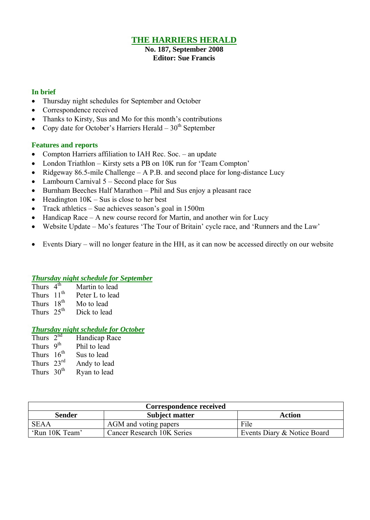# **THE HARRIERS HERALD**

**No. 187, September 2008 Editor: Sue Francis**

### **In brief**

- Thursday night schedules for September and October
- Correspondence received
- Thanks to Kirsty, Sus and Mo for this month's contributions
- Copy date for October's Harriers Herald  $-30<sup>th</sup>$  September

### **Features and reports**

- Compton Harriers affiliation to IAH Rec. Soc. an update
- London Triathlon Kirsty sets a PB on 10K run for 'Team Compton'
- Ridgeway 86.5-mile Challenge A P.B. and second place for long-distance Lucy
- Lambourn Carnival 5 Second place for Sus
- Burnham Beeches Half Marathon Phil and Sus enjoy a pleasant race
- $\bullet$  Headington 10K Sus is close to her best
- Track athletics Sue achieves season's goal in 1500m
- $\bullet$  Handicap Race A new course record for Martin, and another win for Lucy
- Website Update Mo's features 'The Tour of Britain' cycle race, and 'Runners and the Law'
- Events Diary will no longer feature in the HH, as it can now be accessed directly on our website

### *Thursday night schedule for September*

| Thurs $4th$            | Martin to lead  |
|------------------------|-----------------|
| Thurs 11 <sup>th</sup> | Peter L to lead |
| Thurs 18 <sup>th</sup> | Mo to lead      |
| Thurs $25^{th}$        | Dick to lead    |

### *Thursday night schedule for October*

| Thurs $2^{nd}$         | Handicap Race |
|------------------------|---------------|
| Thurs 9 <sup>th</sup>  | Phil to lead  |
| Thurs 16 <sup>th</sup> | Sus to lead   |
| Thurs $23^{\text{rd}}$ | Andy to lead  |
| Thurs $30th$           | Ryan to lead  |
|                        |               |

| Correspondence received |                            |                             |  |  |  |
|-------------------------|----------------------------|-----------------------------|--|--|--|
| <b>Sender</b>           | Action                     |                             |  |  |  |
| <b>SEAA</b>             | AGM and voting papers      | File                        |  |  |  |
| 'Run 10K Team'          | Cancer Research 10K Series | Events Diary & Notice Board |  |  |  |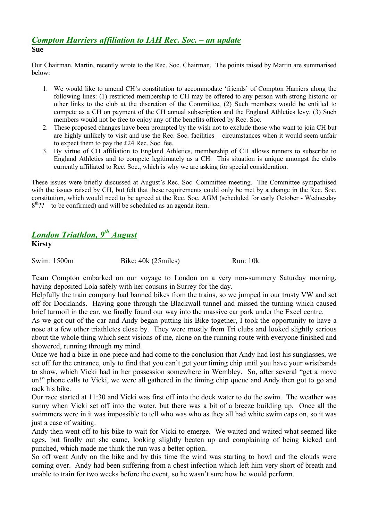### *Compton Harriers affiliation to IAH Rec. Soc. – an update* **Sue**

Our Chairman, Martin, recently wrote to the Rec. Soc. Chairman. The points raised by Martin are summarised below:

- 1. We would like to amend CH's constitution to accommodate 'friends' of Compton Harriers along the following lines: (1) restricted membership to CH may be offered to any person with strong historic or other links to the club at the discretion of the Committee, (2) Such members would be entitled to compete as a CH on payment of the CH annual subscription and the England Athletics levy, (3) Such members would not be free to enjoy any of the benefits offered by Rec. Soc.
- 2. These proposed changes have been prompted by the wish not to exclude those who want to join CH but are highly unlikely to visit and use the Rec. Soc. facilities – circumstances when it would seem unfair to expect them to pay the É24 Rec. Soc. fee.
- 3. By virtue of CH affiliation to England Athletics, membership of CH allows runners to subscribe to England Athletics and to compete legitimately as a CH. This situation is unique amongst the clubs currently affiliated to Rec. Soc., which is why we are asking for special consideration.

These issues were briefly discussed at August's Rec. Soc. Committee meeting. The Committee sympathised with the issues raised by CH, but felt that these requirements could only be met by a change in the Rec. Soc. constitution, which would need to be agreed at the Rec. Soc. AGM (scheduled for early October - Wednesday  $8<sup>th</sup>$ ? – to be confirmed) and will be scheduled as an agenda item.

# *London Triathlon, 9 th August* **Kirsty**

Swim: 1500m Bike: 40k (25miles) Run: 10k

Team Compton embarked on our voyage to London on a very non-summery Saturday morning, having deposited Lola safely with her cousins in Surrey for the day.

Helpfully the train company had banned bikes from the trains, so we jumped in our trusty VW and set off for Docklands. Having gone through the Blackwall tunnel and missed the turning which caused brief turmoil in the car, we finally found our way into the massive car park under the Excel centre.

As we got out of the car and Andy began putting his Bike together, I took the opportunity to have a nose at a few other triathletes close by. They were mostly from Tri clubs and looked slightly serious about the whole thing which sent visions of me, alone on the running route with everyone finished and showered, running through my mind.

Once we had a bike in one piece and had come to the conclusion that Andy had lost his sunglasses, we set off for the entrance, only to find that you can't get your timing chip until you have your wristbands to show, which Vicki had in her possession somewhere in Wembley. So, after several "get a move on!" phone calls to Vicki, we were all gathered in the timing chip queue and Andy then got to go and rack his bike.

Our race started at 11:30 and Vicki was first off into the dock water to do the swim. The weather was sunny when Vicki set off into the water, but there was a bit of a breeze building up. Once all the swimmers were in it was impossible to tell who was who as they all had white swim caps on, so it was just a case of waiting.

Andy then went off to his bike to wait for Vicki to emerge. We waited and waited what seemed like ages, but finally out she came, looking slightly beaten up and complaining of being kicked and punched, which made me think the run was a better option.

So off went Andy on the bike and by this time the wind was starting to howl and the clouds were coming over. Andy had been suffering from a chest infection which left him very short of breath and unable to train for two weeks before the event, so he wasn't sure how he would perform.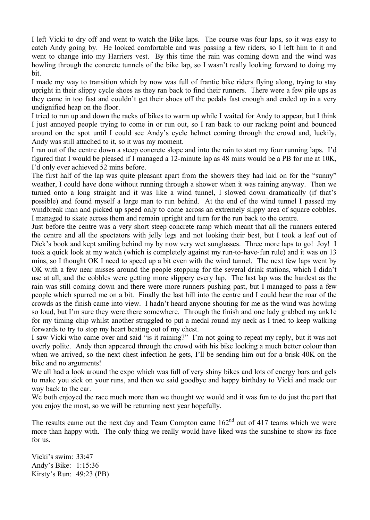I left Vicki to dry off and went to watch the Bike laps. The course was four laps, so it was easy to catch Andy going by. He looked comfortable and was passing a few riders, so I left him to it and went to change into my Harriers vest. By this time the rain was coming down and the wind was howling through the concrete tunnels of the bike lap, so I wasn't really looking forward to doing my bit.

I made my way to transition which by now was full of frantic bike riders flying along, trying to stay upright in their slippy cycle shoes as they ran back to find their runners. There were a few pile ups as they came in too fast and couldn't get their shoes off the pedals fast enough and ended up in a very undignified heap on the floor.

I tried to run up and down the racks of bikes to warm up while I waited for Andy to appear, but I think I just annoyed people trying to come in or run out, so I ran back to our racking point and bounced around on the spot until I could see Andy's cycle helmet coming through the crowd and, luckily, Andy was still attached to it, so it was my moment.

I ran out of the centre down a steep concrete slope and into the rain to start my four running laps. I'd figured that I would be pleased if I managed a 12-minute lap as 48 mins would be a PB for me at 10K, I'd only ever achieved 52 mins before.

The first half of the lap was quite pleasant apart from the showers they had laid on for the "sunny" weather, I could have done without running through a shower when it was raining anyway. Then we turned onto a long straight and it was like a wind tunnel, I slowed down dramatically (if that's possible) and found myself a large man to run behind. At the end of the wind tunnel I passed my windbreak man and picked up speed only to come across an extremely slippy area of square cobbles. I managed to skate across them and remain upright and turn for the run back to the centre.

Just before the centre was a very short steep concrete ramp which meant that all the runners entered the centre and all the spectators with jelly legs and not looking their best, but I took a leaf out of Dick's book and kept smiling behind my by now very wet sunglasses. Three more laps to go! Joy! I took a quick look at my watch (which is completely against my run-to-have-fun rule) and it was on 13 mins, so I thought OK I need to speed up a bit even with the wind tunnel. The next few laps went by OK with a few near misses around the people stopping for the several drink stations, which I didn't use at all, and the cobbles were getting more slippery every lap. The last lap was the hardest as the rain was still coming down and there were more runners pushing past, but I managed to pass a few people which spurred me on a bit. Finally the last hill into the centre and I could hear the roar of the crowds as the finish came into view. I hadn't heard anyone shouting for me as the wind was howling so loud, but I'm sure they were there somewhere. Through the finish and one lady grabbed my ank1e for my timing chip whilst another struggled to put a medal round my neck as I tried to keep walking forwards to try to stop my heart beating out of my chest.

I saw Vicki who came over and said "is it raining?" I'm not going to repeat my reply, but it was not overly polite. Andy then appeared through the crowd with his bike looking a much better colour than when we arrived, so the next chest infection he gets, I'll be sending him out for a brisk 40K on the bike and no arguments!

We all had a look around the expo which was full of very shiny bikes and lots of energy bars and gels to make you sick on your runs, and then we said goodbye and happy birthday to Vicki and made our way back to the car.

We both enjoyed the race much more than we thought we would and it was fun to do just the part that you enjoy the most, so we will be returning next year hopefully.

The results came out the next day and Team Compton came  $162<sup>nd</sup>$  out of 417 teams which we were more than happy with. The only thing we really would have liked was the sunshine to show its face for us.

Vicki's swim: 33:47 Andy's Bike: 1:15:36 Kirsty's Run: 49:23 (PB)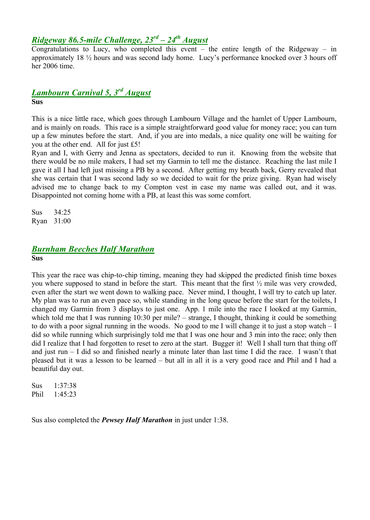# *Ridgeway 86.5-mile Challenge, 23rd – 24th August*

Congratulations to Lucy, who completed this event – the entire length of the Ridgeway – in approximately  $18\frac{1}{2}$  hours and was second lady home. Lucy's performance knocked over 3 hours off her 2006 time.

# *Lambourn Carnival 5, 3 rd August*

**Sus**

This is a nice little race, which goes through Lambourn Village and the hamlet of Upper Lambourn, and is mainly on roads. This race is a simple straightforward good value for money race; you can turn up a few minutes before the start. And, if you are into medals, a nice quality one will be waiting for you at the other end. All for just É5!

Ryan and I, with Gerry and Jenna as spectators, decided to run it. Knowing from the website that there would be no mile makers, I had set my Garmin to tell me the distance. Reaching the last mile I gave it all I had left just missing a PB by a second. After getting my breath back, Gerry revealed that she was certain that I was second lady so we decided to wait for the prize giving. Ryan had wisely advised me to change back to my Compton vest in case my name was called out, and it was. Disappointed not coming home with a PB, at least this was some comfort.

Sus 34:25 Ryan 31:00

# *Burnham Beeches Half Marathon*

#### **Sus**

This year the race was chip-to-chip timing, meaning they had skipped the predicted finish time boxes you where supposed to stand in before the start. This meant that the first  $\frac{1}{2}$  mile was very crowded, even after the start we went down to walking pace. Never mind, I thought, I will try to catch up later. My plan was to run an even pace so, while standing in the long queue before the start for the toilets, I changed my Garmin from 3 displays to just one. App. 1 mile into the race I looked at my Garmin, which told me that I was running 10:30 per mile? – strange, I thought, thinking it could be something to do with a poor signal running in the woods. No good to me I will change it to just a stop watch – I did so while running which surprisingly told me that I was one hour and 3 min into the race; only then did I realize that I had forgotten to reset to zero at the start. Bugger it! Well I shall turn that thing off and just run – I did so and finished nearly a minute later than last time I did the race. I wasn't that pleased but it was a lesson to be learned – but all in all it is a very good race and Phil and I had a beautiful day out.

Sus 1:37:38 Phil 1:45:23

Sus also completed the *Pewsey Half Marathon* in just under 1:38.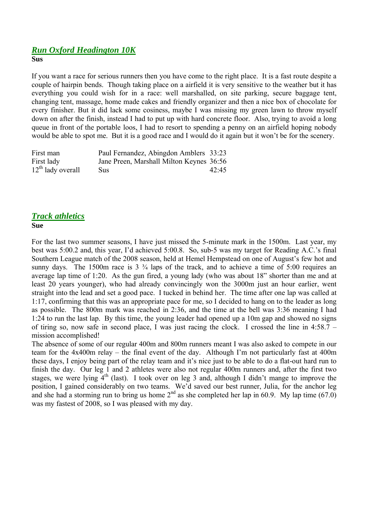### *Run Oxford Headington 10K*

**Sus**

If you want a race for serious runners then you have come to the right place. It is a fast route despite a couple of hairpin bends. Though taking place on a airfield it is very sensitive to the weather but it has everything you could wish for in a race: well marshalled, on site parking, secure baggage tent, changing tent, massage, home made cakes and friendly organizer and then a nice box of chocolate for every finisher. But it did lack some cosiness, maybe I was missing my green lawn to throw myself down on after the finish, instead I had to put up with hard concrete floor. Also, trying to avoid a long queue in front of the portable loos, I had to resort to spending a penny on an airfield hoping nobody would be able to spot me. But it is a good race and I would do it again but it won't be for the scenery.

| First man           | Paul Fernandez, Abingdon Amblers 33:23   |       |
|---------------------|------------------------------------------|-------|
| First lady          | Jane Preen, Marshall Milton Keynes 36:56 |       |
| $12th$ lady overall | <b>Sus</b>                               | 42.45 |

# *Track athletics*

### **Sue**

For the last two summer seasons, I have just missed the 5-minute mark in the 1500m. Last year, my best was 5:00.2 and, this year, I'd achieved 5:00.8. So, sub-5 was my target for Reading A.C.'s final Southern League match of the 2008 season, held at Hemel Hempstead on one of August's few hot and sunny days. The 1500m race is  $3 \frac{3}{4}$  laps of the track, and to achieve a time of 5:00 requires an average lap time of 1:20. As the gun fired, a young lady (who was about 18" shorter than me and at least 20 years younger), who had already convincingly won the 3000m just an hour earlier, went straight into the lead and set a good pace. I tucked in behind her. The time after one lap was called at 1:17, confirming that this was an appropriate pace for me, so I decided to hang on to the leader as long as possible. The 800m mark was reached in 2:36, and the time at the bell was 3:36 meaning I had 1:24 to run the last lap. By this time, the young leader had opened up a 10m gap and showed no signs of tiring so, now safe in second place, I was just racing the clock. I crossed the line in 4:58.7 – mission accomplished!

The absence of some of our regular 400m and 800m runners meant I was also asked to compete in our team for the 4x400m relay – the final event of the day. Although I'm not particularly fast at 400m these days, I enjoy being part of the relay team and it's nice just to be able to do a flat-out hard run to finish the day. Our leg 1 and 2 athletes were also not regular 400m runners and, after the first two stages, we were lying  $4<sup>th</sup>$  (last). I took over on leg 3 and, although I didn't mange to improve the position, I gained considerably on two teams. We'd saved our best runner, Julia, for the anchor leg and she had a storming run to bring us home  $2^{nd}$  as she completed her lap in 60.9. My lap time (67.0) was my fastest of 2008, so I was pleased with my day.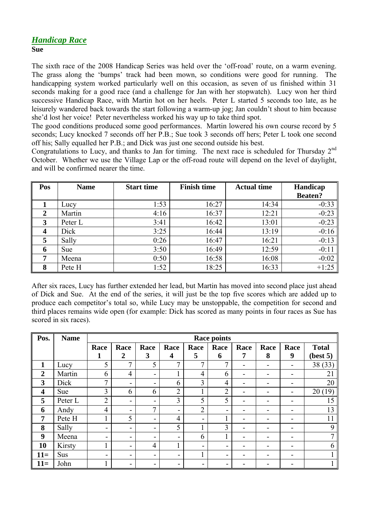### *Handicap Race* **Sue**

The sixth race of the 2008 Handicap Series was held over the 'off-road' route, on a warm evening. The grass along the 'bumps' track had been mown, so conditions were good for running. The handicapping system worked particularly well on this occasion, as seven of us finished within 31 seconds making for a good race (and a challenge for Jan with her stopwatch). Lucy won her third successive Handicap Race, with Martin hot on her heels. Peter L started 5 seconds too late, as he leisurely wandered back towards the start following a warm-up jog; Jan couldn't shout to him because she'd lost her voice! Peter nevertheless worked his way up to take third spot.

The good conditions produced some good performances. Martin lowered his own course record by 5 seconds; Lucy knocked 7 seconds off her P.B.; Sue took 3 seconds off hers; Peter L took one second off his; Sally equalled her P.B.; and Dick was just one second outside his best.

Congratulations to Lucy, and thanks to Jan for timing. The next race is scheduled for Thursday 2<sup>nd</sup> October. Whether we use the Village Lap or the off-road route will depend on the level of daylight, and will be confirmed nearer the time.

| Pos              | <b>Name</b> | <b>Start time</b> | <b>Finish time</b> | <b>Actual time</b> | Handicap       |  |
|------------------|-------------|-------------------|--------------------|--------------------|----------------|--|
|                  |             |                   |                    |                    | <b>Beaten?</b> |  |
|                  | Lucy        | 1:53              | 16:27              | 14:34              | $-0:33$        |  |
| $\overline{2}$   | Martin      | 4:16              | 16:37              | 12:21              | $-0:23$        |  |
| 3                | Peter L     | 3:41              | 16:42              | 13:01              | $-0:23$        |  |
| $\boldsymbol{4}$ | Dick        | 3:25              | 16:44              | 13:19              | $-0:16$        |  |
| 5                | Sally       | 0:26              | 16:47              | 16:21              | $-0:13$        |  |
| 6                | <b>Sue</b>  | 3:50              | 16:49              | 12:59              | $-0:11$        |  |
| 7                | Meena       | 0:50              | 16:58              | 16:08              | $-0:02$        |  |
| 8                | Pete H      | 1:52              | 18:25              | 16:33              | $+1:25$        |  |

After six races, Lucy has further extended her lead, but Martin has moved into second place just ahead of Dick and Sue. At the end of the series, it will just be the top five scores which are added up to produce each competitor's total so, while Lucy may be unstoppable, the competition for second and third places remains wide open (for example: Dick has scored as many points in four races as Sue has scored in six races).

| Pos.                    | <b>Name</b> | <b>Race points</b> |                          |                |                |                |                |      |      |                |              |
|-------------------------|-------------|--------------------|--------------------------|----------------|----------------|----------------|----------------|------|------|----------------|--------------|
|                         |             | Race               | Race                     | Race           | Race           | Race           | Race           | Race | Race | Race           | <b>Total</b> |
|                         |             | 1                  | $\overline{2}$           | 3              | 4              | 5              | 6              | 7    | 8    | 9              | (best 5)     |
| 1                       | Lucy        | 5                  | 7                        | 5              | 7              | 7              | 7              |      |      |                | 38 (33)      |
| $\overline{2}$          | Martin      | 6                  | $\overline{4}$           | $\blacksquare$ |                | 4              | 6              |      |      |                | 21           |
| 3                       | Dick        | 7                  | -                        | ۰              | 6              | 3              | 4              |      |      |                | 20           |
| $\overline{\mathbf{4}}$ | Sue         | 3                  | 6                        | 6              | $\overline{2}$ |                | $\overline{2}$ |      |      | $\blacksquare$ | 20(19)       |
| 5                       | Peter L     | $\overline{2}$     | -                        | ۰              | 3              | 5              | 5              |      |      |                | 15           |
| 6                       | Andy        | 4                  | -                        | $\mathcal{I}$  | -              | $\overline{2}$ | -              |      |      | -              | 13           |
| $\overline{7}$          | Pete H      |                    | 5                        | ۰              | 4              | ۰              |                |      |      |                | 11           |
| 8                       | Sally       | -                  | $\overline{\phantom{0}}$ | -              | 5              |                | 3              |      |      |                | 9            |
| 9                       | Meena       | ۰                  | -                        | ۰              | -              | 6              |                |      |      |                | 7            |
| 10                      | Kirsty      |                    | -                        | $\overline{4}$ |                | -              |                |      |      |                | 6            |
| $11=$                   | Sus         | -                  | $\overline{\phantom{0}}$ | ۰              | -              |                |                |      |      |                |              |
| $11=$                   | John        |                    | -                        | -              | -              |                |                |      |      |                |              |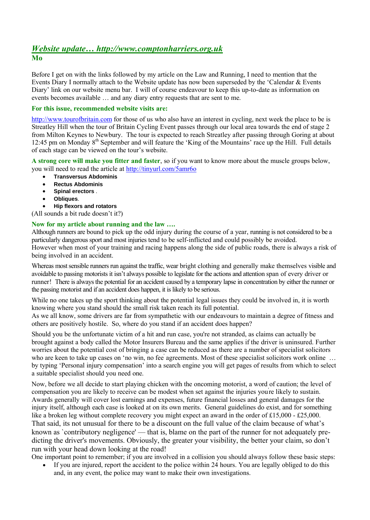### *Website update… http://www.comptonharriers.org.uk* **Mo**

Before I get on with the links followed by my article on the Law and Running, I need to mention that the Events Diary I normally attach to the Website update has now been superseded by the 'Calendar & Events Diary' link on our website menu bar. I will of course endeavour to keep this up-to-date as information on events becomes available … and any diary entry requests that are sent to me.

### **For this issue, recommended website visits are:**

http://www.tourofbritain.com for those of us who also have an interest in cycling, next week the place to be is Streatley Hill when the tour of Britain Cycling Event passes through our local area towards the end of stage 2 from Milton Keynes to Newbury. The tour is expected to reach Streatley after passing through Goring at about 12:45 pm on Monday 8<sup>th</sup> September and will feature the 'King of the Mountains' race up the Hill. Full details of each stage can be viewed on the tour's website.

**A strong core will make you fitter and faster**, so if you want to know more about the muscle groups below, you will need to read the article at http://tinyurl.com/5amr6o

- **Transversus Abdominis**
- **Rectus Abdominis**
- **Spinal erectors** .
- **Obliques**.

**Hip flexors and rotators**

(All sounds a bit rude doesn't it?)

### **Now for my article about running and the law ….**

Although runners are bound to pick up the odd injury during the course of a year, running is not considered to be a particularly dangerous sport and most injuries tend to be self-inflicted and could possibly be avoided. However when most of your training and racing happens along the side of public roads, there is always a risk of being involved in an accident.

Whereas most sensible runners run against the traffic, wear bright clothing and generally make themselves visible and avoidable to passing motorists it isn't always possible to legislate for the actions and attention span of every driver or runner! There is always the potential for an accident caused by a temporary lapse in concentration by either the runner or the passing motorist and if an accident does happen, it is likely to be serious.

While no one takes up the sport thinking about the potential legal issues they could be involved in, it is worth knowing where you stand should the small risk taken reach its full potential.

As we all know, some drivers are far from sympathetic with our endeavours to maintain a degree of fitness and others are positively hostile. So, where do you stand if an accident does happen?

Should you be the unfortunate victim of a hit and run case, you're not stranded, as claims can actually be brought against a body called the Motor Insurers Bureau and the same applies if the driver is uninsured. Further worries about the potential cost of bringing a case can be reduced as there are a number of specialist solicitors who are keen to take up cases on 'no win, no fee' agreements. Most of these specialist solicitors work online ... by typing 'Personal injury compensation' into a search engine you will get pages of results from which to select a suitable specialist should you need one.

Now, before we all decide to start playing chicken with the oncoming motorist, a word of caution; the level of compensation you are likely to receive can be modest when set against the injuries you're likely to sustain. Awards generally will cover lost earnings and expenses, future financial losses and general damages for the injury itself, although each case is looked at on its own merits. General guidelines do exist, and for something like a broken leg without complete recovery you might expect an award in the order of £15,000 - £25,000. That said, its not unusual for there to be a discount on the full value of the claim because of what's known as `contributory negligence' — that is, blame on the part of the runner for not adequately predicting the driver's movements. Obviously, the greater your visibility, the better your claim, so don't run with your head down looking at the road!

One important point to remember; if you are involved in a collision you should always follow these basic steps:

 If you are injured, report the accident to the police within 24 hours. You are legally obliged to do this and, in any event, the police may want to make their own investigations.